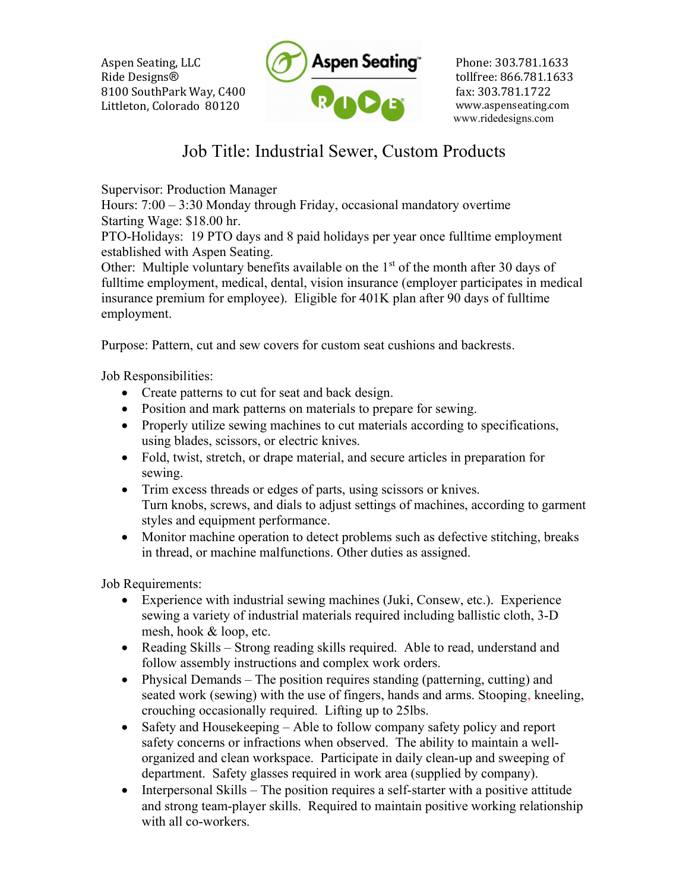Aspen Seating, LLC Ride Designs® 8100 SouthPark Way, C400 Littleton, Colorado 80120



Phone: 303.781.1633 tollfree: 866.781.1633 fax: 303.781.1722 www.aspenseating.com www.ridedesigns.com

## Job Title: Industrial Sewer, Custom Products

Supervisor: Production Manager

Hours: 7:00 – 3:30 Monday through Friday, occasional mandatory overtime Starting Wage: \$18.00 hr.

PTO-Holidays: 19 PTO days and 8 paid holidays per year once fulltime employment established with Aspen Seating.

Other: Multiple voluntary benefits available on the  $1<sup>st</sup>$  of the month after 30 days of fulltime employment, medical, dental, vision insurance (employer participates in medical insurance premium for employee). Eligible for 401K plan after 90 days of fulltime employment.

Purpose: Pattern, cut and sew covers for custom seat cushions and backrests.

Job Responsibilities:

- Create patterns to cut for seat and back design.
- Position and mark patterns on materials to prepare for sewing.
- Properly utilize sewing machines to cut materials according to specifications, using blades, scissors, or electric knives.
- Fold, twist, stretch, or drape material, and secure articles in preparation for sewing.
- Trim excess threads or edges of parts, using scissors or knives. Turn knobs, screws, and dials to adjust settings of machines, according to garment styles and equipment performance.
- Monitor machine operation to detect problems such as defective stitching, breaks in thread, or machine malfunctions. Other duties as assigned.

Job Requirements:

- Experience with industrial sewing machines (Juki, Consew, etc.). Experience sewing a variety of industrial materials required including ballistic cloth, 3-D mesh, hook & loop, etc.
- Reading Skills Strong reading skills required. Able to read, understand and follow assembly instructions and complex work orders.
- Physical Demands The position requires standing (patterning, cutting) and seated work (sewing) with the use of fingers, hands and arms. Stooping, kneeling, crouching occasionally required. Lifting up to 25lbs.
- Safety and Housekeeping Able to follow company safety policy and report safety concerns or infractions when observed. The ability to maintain a wellorganized and clean workspace. Participate in daily clean-up and sweeping of department. Safety glasses required in work area (supplied by company).
- $\bullet$  Interpersonal Skills The position requires a self-starter with a positive attitude and strong team-player skills. Required to maintain positive working relationship with all co-workers.